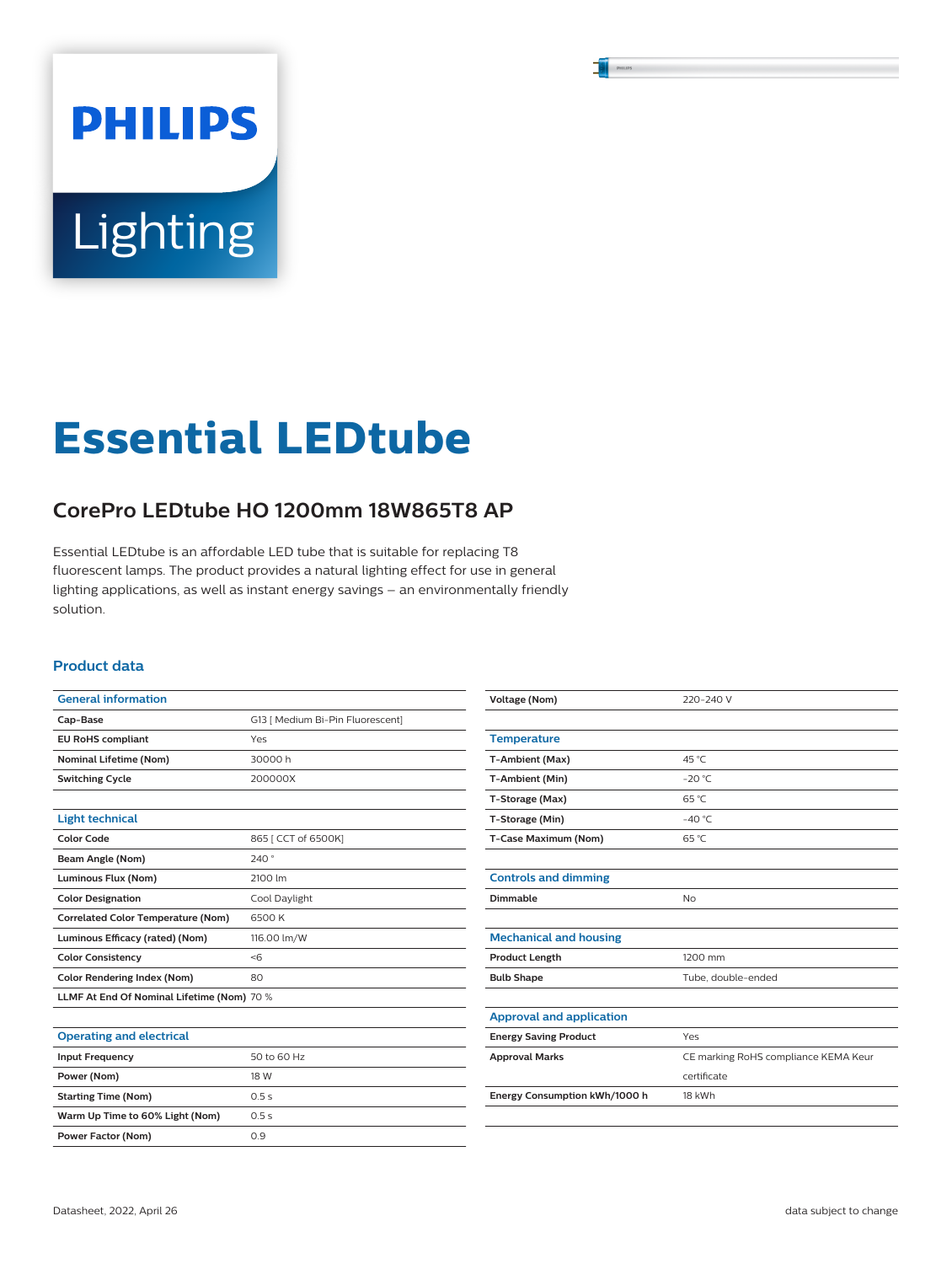# **PHILIPS** Lighting

# **Essential LEDtube**

# **CorePro LEDtube HO 1200mm 18W865T8 AP**

Essential LEDtube is an affordable LED tube that is suitable for replacing T8 fluorescent lamps. The product provides a natural lighting effect for use in general lighting applications, as well as instant energy savings – an environmentally friendly solution.

#### **Product data**

| <b>General information</b>                 |                                  |  |  |  |
|--------------------------------------------|----------------------------------|--|--|--|
| Cap-Base                                   | G13   Medium Bi-Pin Fluorescent] |  |  |  |
| <b>EU RoHS compliant</b>                   | Yes                              |  |  |  |
| <b>Nominal Lifetime (Nom)</b>              | 30000h                           |  |  |  |
| <b>Switching Cycle</b>                     | 200000X                          |  |  |  |
|                                            |                                  |  |  |  |
| <b>Light technical</b>                     |                                  |  |  |  |
| <b>Color Code</b>                          | 865   CCT of 6500K]              |  |  |  |
| Beam Angle (Nom)                           | 240°                             |  |  |  |
| Luminous Flux (Nom)                        | 2100 lm                          |  |  |  |
| <b>Color Designation</b>                   | Cool Daylight                    |  |  |  |
| <b>Correlated Color Temperature (Nom)</b>  | 6500 K                           |  |  |  |
| Luminous Efficacy (rated) (Nom)            | 116.00 lm/W                      |  |  |  |
| <b>Color Consistency</b>                   | < 6                              |  |  |  |
| <b>Color Rendering Index (Nom)</b>         | 80                               |  |  |  |
| LLMF At End Of Nominal Lifetime (Nom) 70 % |                                  |  |  |  |
|                                            |                                  |  |  |  |
|                                            |                                  |  |  |  |

| <b>Operating and electrical</b> |             |
|---------------------------------|-------------|
| <b>Input Frequency</b>          | 50 to 60 Hz |
| Power (Nom)                     | 18 W        |
| <b>Starting Time (Nom)</b>      | 0.5s        |
| Warm Up Time to 60% Light (Nom) | 0.5s        |
| <b>Power Factor (Nom)</b>       | 0.9         |

| <b>Voltage (Nom)</b>            | 220-240 V                            |  |  |  |
|---------------------------------|--------------------------------------|--|--|--|
|                                 |                                      |  |  |  |
| <b>Temperature</b>              |                                      |  |  |  |
| T-Ambient (Max)                 | 45 °C                                |  |  |  |
| T-Ambient (Min)                 | $-20 °C$                             |  |  |  |
| T-Storage (Max)                 | $65^{\circ}$ C                       |  |  |  |
| T-Storage (Min)                 | $-40^{\circ}$ C                      |  |  |  |
| T-Case Maximum (Nom)            | $65^{\circ}$ C                       |  |  |  |
|                                 |                                      |  |  |  |
| <b>Controls and dimming</b>     |                                      |  |  |  |
| Dimmable                        | <b>No</b>                            |  |  |  |
|                                 |                                      |  |  |  |
| <b>Mechanical and housing</b>   |                                      |  |  |  |
| <b>Product Length</b>           | 1200 mm                              |  |  |  |
| <b>Bulb Shape</b>               | Tube, double-ended                   |  |  |  |
|                                 |                                      |  |  |  |
| <b>Approval and application</b> |                                      |  |  |  |
| <b>Energy Saving Product</b>    | Yes                                  |  |  |  |
| <b>Approval Marks</b>           | CE marking RoHS compliance KEMA Keur |  |  |  |
|                                 | certificate                          |  |  |  |
| Energy Consumption kWh/1000 h   | 18 kWh                               |  |  |  |
|                                 |                                      |  |  |  |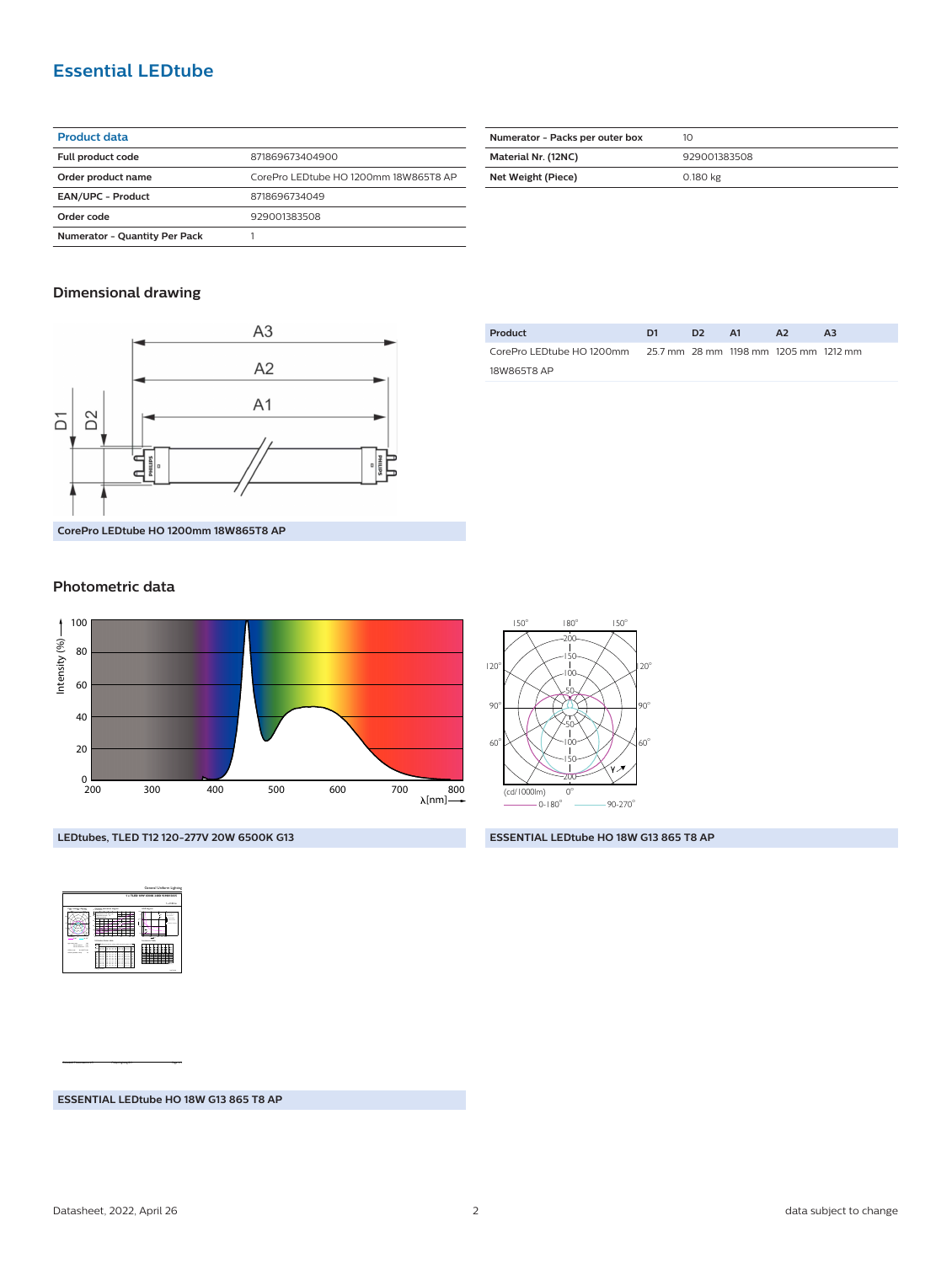## **Essential LEDtube**

| <b>Product data</b>                  |                                       |  |  |  |
|--------------------------------------|---------------------------------------|--|--|--|
| Full product code                    | 871869673404900                       |  |  |  |
| Order product name                   | CorePro LEDtube HO 1200mm 18W865T8 AP |  |  |  |
| <b>EAN/UPC - Product</b>             | 8718696734049                         |  |  |  |
| Order code                           | 929001383508                          |  |  |  |
| <b>Numerator - Quantity Per Pack</b> |                                       |  |  |  |

| Numerator - Packs per outer box | 10           |  |  |
|---------------------------------|--------------|--|--|
| Material Nr. (12NC)             | 929001383508 |  |  |
| Net Weight (Piece)              | 0.180 kg     |  |  |

#### **Dimensional drawing**



| Product                                                          | D1 | D2. | - A1 | <b>A2</b> | A3 |
|------------------------------------------------------------------|----|-----|------|-----------|----|
| CorePro LED tube HO 1200mm 25.7 mm 28 mm 1198 mm 1205 mm 1212 mm |    |     |      |           |    |
| 18W865T8 AP                                                      |    |     |      |           |    |

**CorePro LEDtube HO 1200mm 18W865T8 AP**

#### **Photometric data**





 $180$ 

150

 $150$ 

**LEDtubes, TLED T12 120-277V 20W 6500K G13**

**ESSENTIAL LEDtube HO 18W G13 865 T8 AP**



CalcuLuX Photometrics 4.5 Philips Lighting B.V. Page: 1/1

**ESSENTIAL LEDtube HO 18W G13 865 T8 AP**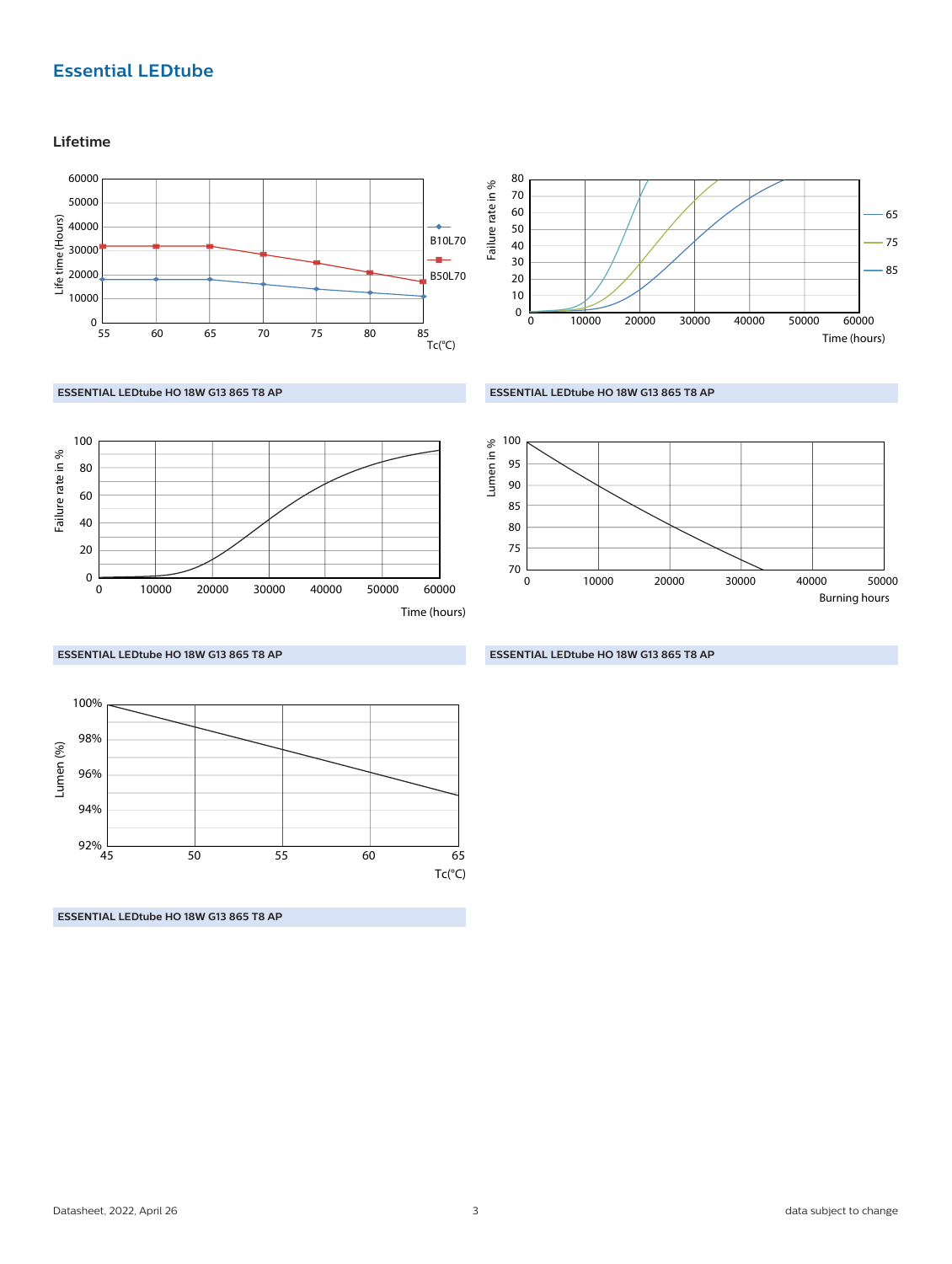# **Essential LEDtube**

**Lifetime**

0

60 40 20

Failure rate in %

80 100





#### **ESSENTIAL LEDtube HO 18W G13 865 T8 AP**





**ESSENTIAL LEDtube HO 18W G13 865 T8 AP**

Lumen (%)  $92\%$  L<br>45 94% 96% 98% 100% Tc(°C) 45 50 55 60 65

0 30000 10000 20000 40000 50000 60000

**ESSENTIAL LEDtube HO 18W G13 865 T8 AP**

**ESSENTIAL LEDtube HO 18W G13 865 T8 AP**